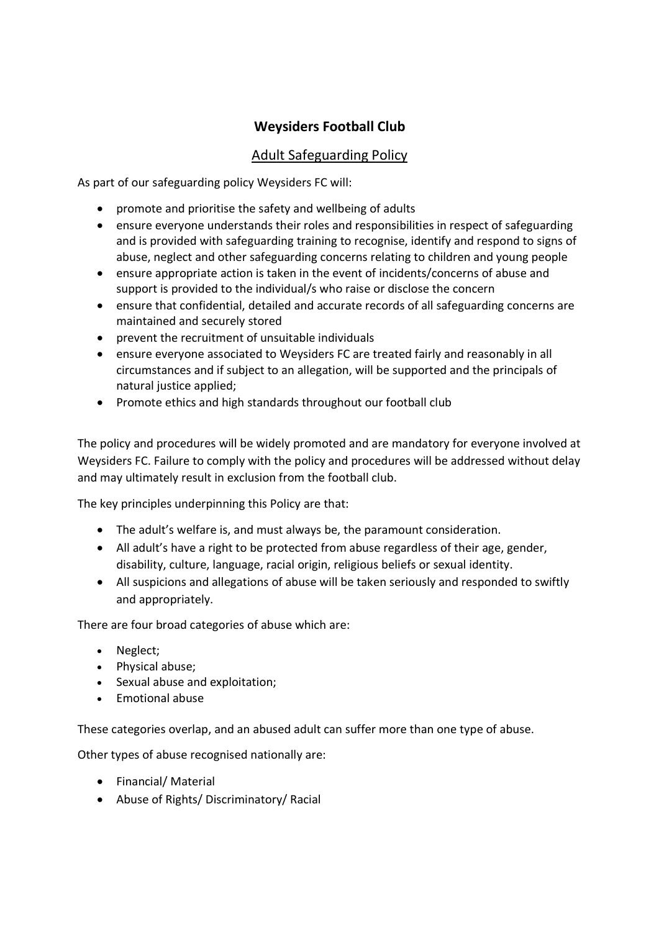# **Weysiders Football Club**

## Adult Safeguarding Policy

As part of our safeguarding policy Weysiders FC will:

- promote and prioritise the safety and wellbeing of adults
- ensure everyone understands their roles and responsibilities in respect of safeguarding and is provided with safeguarding training to recognise, identify and respond to signs of abuse, neglect and other safeguarding concerns relating to children and young people
- ensure appropriate action is taken in the event of incidents/concerns of abuse and support is provided to the individual/s who raise or disclose the concern
- ensure that confidential, detailed and accurate records of all safeguarding concerns are maintained and securely stored
- prevent the recruitment of unsuitable individuals
- ensure everyone associated to Weysiders FC are treated fairly and reasonably in all circumstances and if subject to an allegation, will be supported and the principals of natural justice applied;
- Promote ethics and high standards throughout our football club

The policy and procedures will be widely promoted and are mandatory for everyone involved at Weysiders FC. Failure to comply with the policy and procedures will be addressed without delay and may ultimately result in exclusion from the football club.

The key principles underpinning this Policy are that:

- The adult's welfare is, and must always be, the paramount consideration.
- All adult's have a right to be protected from abuse regardless of their age, gender, disability, culture, language, racial origin, religious beliefs or sexual identity.
- All suspicions and allegations of abuse will be taken seriously and responded to swiftly and appropriately.

There are four broad categories of abuse which are:

- Neglect;
- Physical abuse;
- Sexual abuse and exploitation;
- $\bullet$  Emotional abuse

These categories overlap, and an abused adult can suffer more than one type of abuse.

Other types of abuse recognised nationally are:

- Financial/ Material
- Abuse of Rights/ Discriminatory/ Racial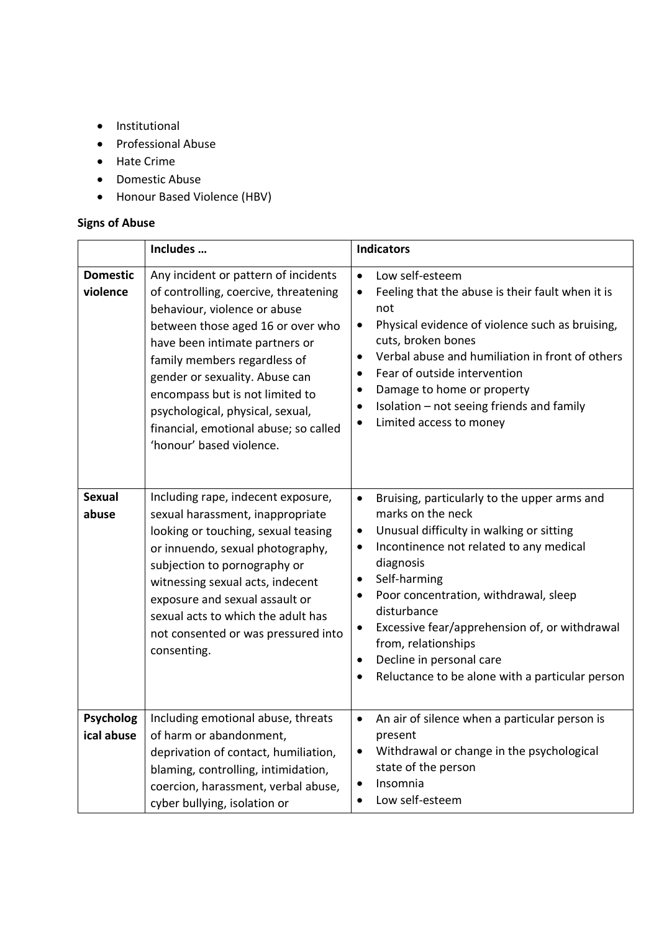- $\bullet$  Institutional
- Professional Abuse
- Hate Crime
- Domestic Abuse
- Honour Based Violence (HBV)

## **Signs of Abuse**

|                                | Includes                                                                                                                                                                                                                                                                                                                                                                                           | <b>Indicators</b>                                                                                                                                                                                                                                                                                                                                                                                                                                                                               |  |
|--------------------------------|----------------------------------------------------------------------------------------------------------------------------------------------------------------------------------------------------------------------------------------------------------------------------------------------------------------------------------------------------------------------------------------------------|-------------------------------------------------------------------------------------------------------------------------------------------------------------------------------------------------------------------------------------------------------------------------------------------------------------------------------------------------------------------------------------------------------------------------------------------------------------------------------------------------|--|
| <b>Domestic</b><br>violence    | Any incident or pattern of incidents<br>of controlling, coercive, threatening<br>behaviour, violence or abuse<br>between those aged 16 or over who<br>have been intimate partners or<br>family members regardless of<br>gender or sexuality. Abuse can<br>encompass but is not limited to<br>psychological, physical, sexual,<br>financial, emotional abuse; so called<br>'honour' based violence. | Low self-esteem<br>$\bullet$<br>Feeling that the abuse is their fault when it is<br>not<br>Physical evidence of violence such as bruising,<br>$\bullet$<br>cuts, broken bones<br>Verbal abuse and humiliation in front of others<br>$\bullet$<br>Fear of outside intervention<br>$\bullet$<br>Damage to home or property<br>$\bullet$<br>Isolation - not seeing friends and family<br>Limited access to money<br>$\bullet$                                                                      |  |
| <b>Sexual</b><br>abuse         | Including rape, indecent exposure,<br>sexual harassment, inappropriate<br>looking or touching, sexual teasing<br>or innuendo, sexual photography,<br>subjection to pornography or<br>witnessing sexual acts, indecent<br>exposure and sexual assault or<br>sexual acts to which the adult has<br>not consented or was pressured into<br>consenting.                                                | Bruising, particularly to the upper arms and<br>$\bullet$<br>marks on the neck<br>Unusual difficulty in walking or sitting<br>$\bullet$<br>Incontinence not related to any medical<br>$\bullet$<br>diagnosis<br>Self-harming<br>$\bullet$<br>Poor concentration, withdrawal, sleep<br>$\bullet$<br>disturbance<br>Excessive fear/apprehension of, or withdrawal<br>$\bullet$<br>from, relationships<br>Decline in personal care<br>$\bullet$<br>Reluctance to be alone with a particular person |  |
| <b>Psycholog</b><br>ical abuse | Including emotional abuse, threats<br>of harm or abandonment,<br>deprivation of contact, humiliation,<br>blaming, controlling, intimidation,<br>coercion, harassment, verbal abuse,<br>cyber bullying, isolation or                                                                                                                                                                                | An air of silence when a particular person is<br>$\bullet$<br>present<br>Withdrawal or change in the psychological<br>state of the person<br>Insomnia<br>Low self-esteem<br>$\bullet$                                                                                                                                                                                                                                                                                                           |  |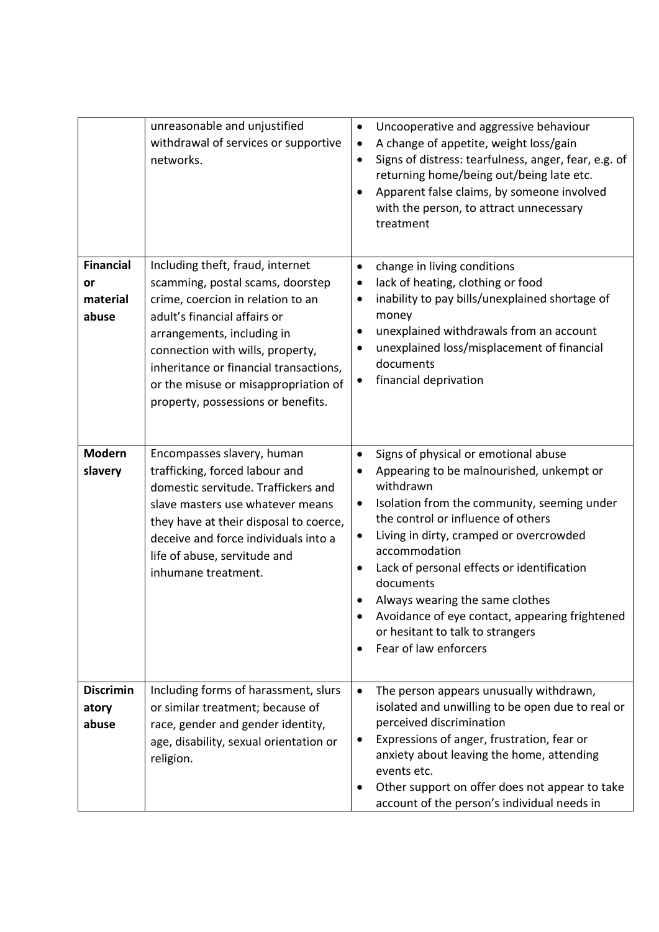|                                             | unreasonable and unjustified<br>withdrawal of services or supportive<br>networks.                                                                                                                                                                                                                                                   | Uncooperative and aggressive behaviour<br>$\bullet$<br>A change of appetite, weight loss/gain<br>Signs of distress: tearfulness, anger, fear, e.g. of<br>$\bullet$<br>returning home/being out/being late etc.<br>Apparent false claims, by someone involved<br>with the person, to attract unnecessary<br>treatment                                                                                                                                                                                            |
|---------------------------------------------|-------------------------------------------------------------------------------------------------------------------------------------------------------------------------------------------------------------------------------------------------------------------------------------------------------------------------------------|-----------------------------------------------------------------------------------------------------------------------------------------------------------------------------------------------------------------------------------------------------------------------------------------------------------------------------------------------------------------------------------------------------------------------------------------------------------------------------------------------------------------|
| <b>Financial</b><br>or<br>material<br>abuse | Including theft, fraud, internet<br>scamming, postal scams, doorstep<br>crime, coercion in relation to an<br>adult's financial affairs or<br>arrangements, including in<br>connection with wills, property,<br>inheritance or financial transactions,<br>or the misuse or misappropriation of<br>property, possessions or benefits. | change in living conditions<br>$\bullet$<br>lack of heating, clothing or food<br>$\bullet$<br>inability to pay bills/unexplained shortage of<br>$\bullet$<br>money<br>unexplained withdrawals from an account<br>$\bullet$<br>unexplained loss/misplacement of financial<br>documents<br>financial deprivation<br>٠                                                                                                                                                                                             |
| <b>Modern</b><br>slavery                    | Encompasses slavery, human<br>trafficking, forced labour and<br>domestic servitude. Traffickers and<br>slave masters use whatever means<br>they have at their disposal to coerce,<br>deceive and force individuals into a<br>life of abuse, servitude and<br>inhumane treatment.                                                    | Signs of physical or emotional abuse<br>$\bullet$<br>Appearing to be malnourished, unkempt or<br>withdrawn<br>Isolation from the community, seeming under<br>$\bullet$<br>the control or influence of others<br>Living in dirty, cramped or overcrowded<br>$\bullet$<br>accommodation<br>Lack of personal effects or identification<br>$\bullet$<br>documents<br>Always wearing the same clothes<br>Avoidance of eye contact, appearing frightened<br>or hesitant to talk to strangers<br>Fear of law enforcers |
| <b>Discrimin</b><br>atory<br>abuse          | Including forms of harassment, slurs<br>or similar treatment; because of<br>race, gender and gender identity,<br>age, disability, sexual orientation or<br>religion.                                                                                                                                                                | The person appears unusually withdrawn,<br>$\bullet$<br>isolated and unwilling to be open due to real or<br>perceived discrimination<br>Expressions of anger, frustration, fear or<br>anxiety about leaving the home, attending<br>events etc.<br>Other support on offer does not appear to take<br>account of the person's individual needs in                                                                                                                                                                 |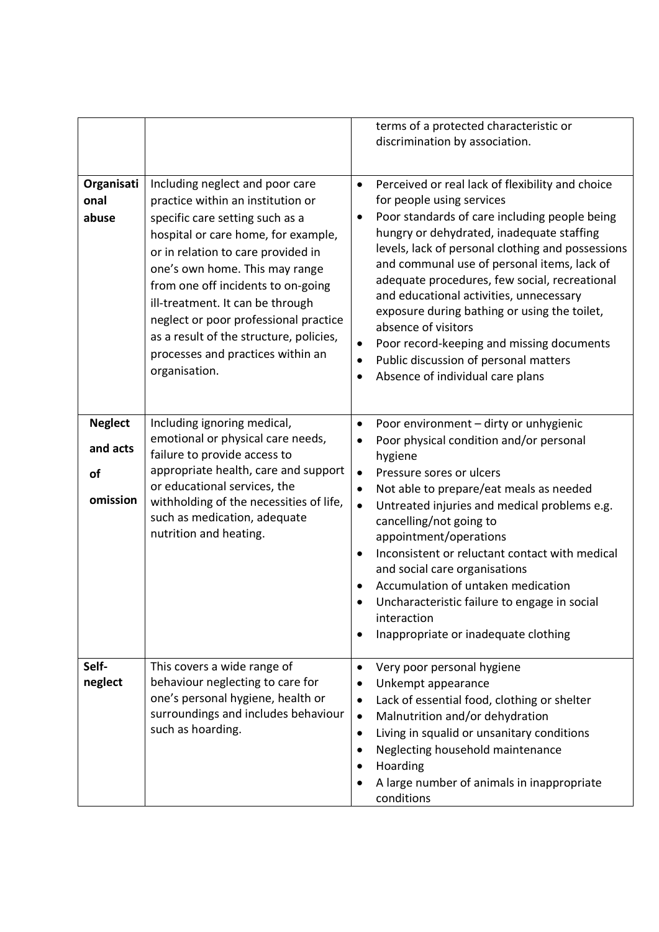|                                              |                                                                                                                                                                                                                                                                                                                                                                                                                                            | terms of a protected characteristic or<br>discrimination by association.                                                                                                                                                                                                                                                                                                                                                                                                                                                                                                                                                                      |
|----------------------------------------------|--------------------------------------------------------------------------------------------------------------------------------------------------------------------------------------------------------------------------------------------------------------------------------------------------------------------------------------------------------------------------------------------------------------------------------------------|-----------------------------------------------------------------------------------------------------------------------------------------------------------------------------------------------------------------------------------------------------------------------------------------------------------------------------------------------------------------------------------------------------------------------------------------------------------------------------------------------------------------------------------------------------------------------------------------------------------------------------------------------|
| Organisati<br>onal<br>abuse                  | Including neglect and poor care<br>practice within an institution or<br>specific care setting such as a<br>hospital or care home, for example,<br>or in relation to care provided in<br>one's own home. This may range<br>from one off incidents to on-going<br>ill-treatment. It can be through<br>neglect or poor professional practice<br>as a result of the structure, policies,<br>processes and practices within an<br>organisation. | Perceived or real lack of flexibility and choice<br>$\bullet$<br>for people using services<br>Poor standards of care including people being<br>$\bullet$<br>hungry or dehydrated, inadequate staffing<br>levels, lack of personal clothing and possessions<br>and communal use of personal items, lack of<br>adequate procedures, few social, recreational<br>and educational activities, unnecessary<br>exposure during bathing or using the toilet,<br>absence of visitors<br>Poor record-keeping and missing documents<br>$\bullet$<br>Public discussion of personal matters<br>$\bullet$<br>Absence of individual care plans<br>$\bullet$ |
| <b>Neglect</b><br>and acts<br>of<br>omission | Including ignoring medical,<br>emotional or physical care needs,<br>failure to provide access to<br>appropriate health, care and support<br>or educational services, the<br>withholding of the necessities of life,<br>such as medication, adequate<br>nutrition and heating.                                                                                                                                                              | Poor environment - dirty or unhygienic<br>$\bullet$<br>Poor physical condition and/or personal<br>$\bullet$<br>hygiene<br>Pressure sores or ulcers<br>$\bullet$<br>Not able to prepare/eat meals as needed<br>$\bullet$<br>Untreated injuries and medical problems e.g.<br>$\bullet$<br>cancelling/not going to<br>appointment/operations<br>Inconsistent or reluctant contact with medical<br>$\bullet$<br>and social care organisations<br>Accumulation of untaken medication<br>Uncharacteristic failure to engage in social<br>interaction<br>Inappropriate or inadequate clothing                                                        |
| Self-<br>neglect                             | This covers a wide range of<br>behaviour neglecting to care for<br>one's personal hygiene, health or<br>surroundings and includes behaviour<br>such as hoarding.                                                                                                                                                                                                                                                                           | Very poor personal hygiene<br>$\bullet$<br>Unkempt appearance<br>$\bullet$<br>Lack of essential food, clothing or shelter<br>$\bullet$<br>Malnutrition and/or dehydration<br>$\bullet$<br>Living in squalid or unsanitary conditions<br>$\bullet$<br>Neglecting household maintenance<br>Hoarding<br>A large number of animals in inappropriate<br>conditions                                                                                                                                                                                                                                                                                 |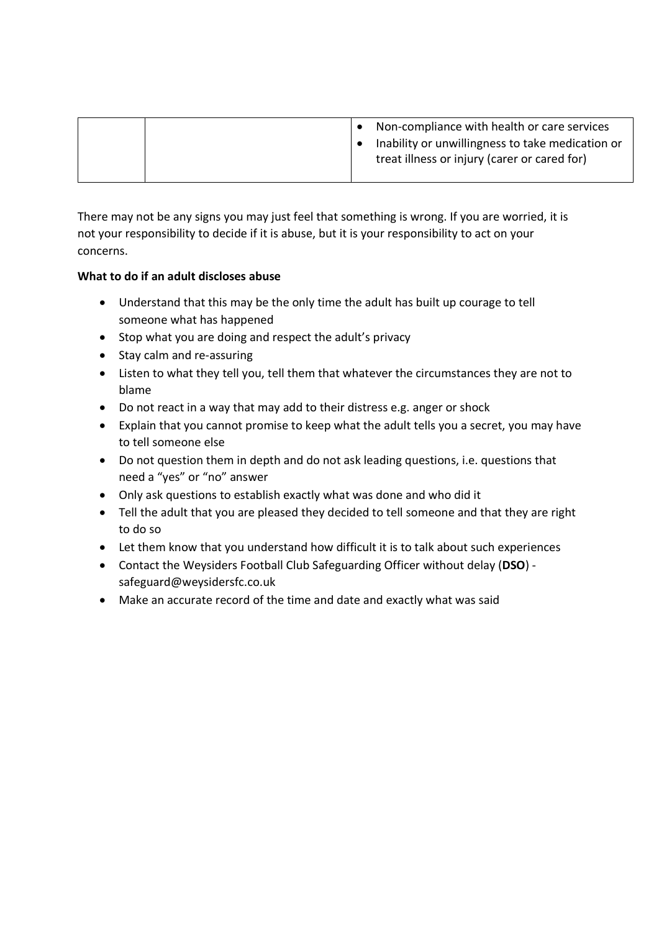|  | Non-compliance with health or care services                                                      |
|--|--------------------------------------------------------------------------------------------------|
|  | Inability or unwillingness to take medication or<br>treat illness or injury (carer or cared for) |

There may not be any signs you may just feel that something is wrong. If you are worried, it is not your responsibility to decide if it is abuse, but it is your responsibility to act on your concerns.

### **What to do if an adult discloses abuse**

- Understand that this may be the only time the adult has built up courage to tell someone what has happened
- Stop what you are doing and respect the adult's privacy
- Stay calm and re-assuring
- Listen to what they tell you, tell them that whatever the circumstances they are not to blame
- Do not react in a way that may add to their distress e.g. anger or shock
- Explain that you cannot promise to keep what the adult tells you a secret, you may have to tell someone else
- Do not question them in depth and do not ask leading questions, i.e. questions that need a "yes" or "no" answer
- Only ask questions to establish exactly what was done and who did it
- Tell the adult that you are pleased they decided to tell someone and that they are right to do so
- Let them know that you understand how difficult it is to talk about such experiences
- Contact the Weysiders Football Club Safeguarding Officer without delay (**DSO**) safeguard@weysidersfc.co.uk
- Make an accurate record of the time and date and exactly what was said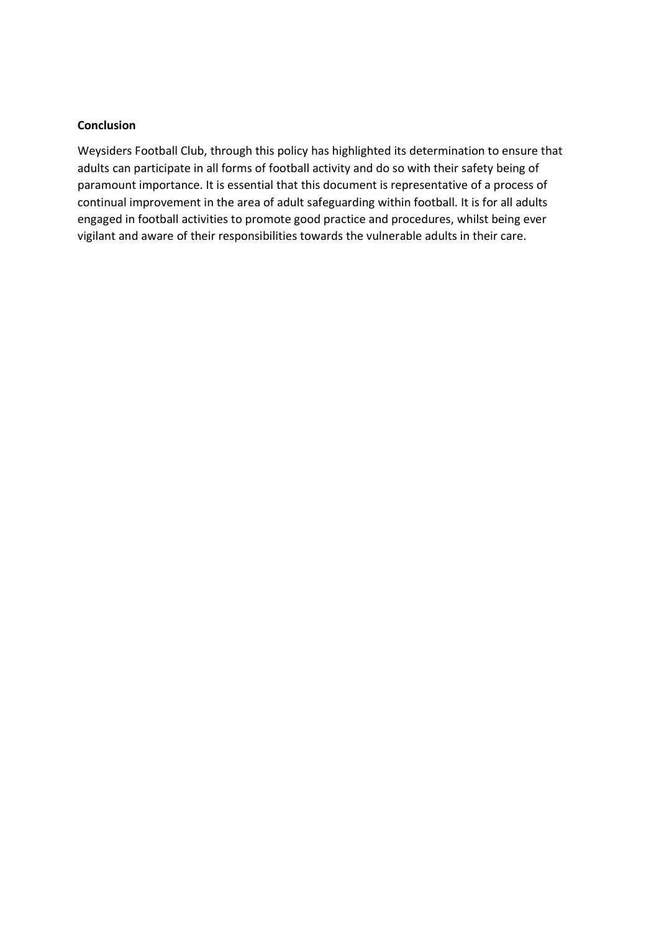#### **Conclusion**

Weysiders Football Club, through this policy has highlighted its determination to ensure that adults can participate in all forms of football activity and do so with their safety being of paramount importance. It is essential that this document is representative of a process of continual improvement in the area of adult safeguarding within football. It is for all adults engaged in football activities to promote good practice and procedures, whilst being ever vigilant and aware of their responsibilities towards the vulnerable adults in their care.